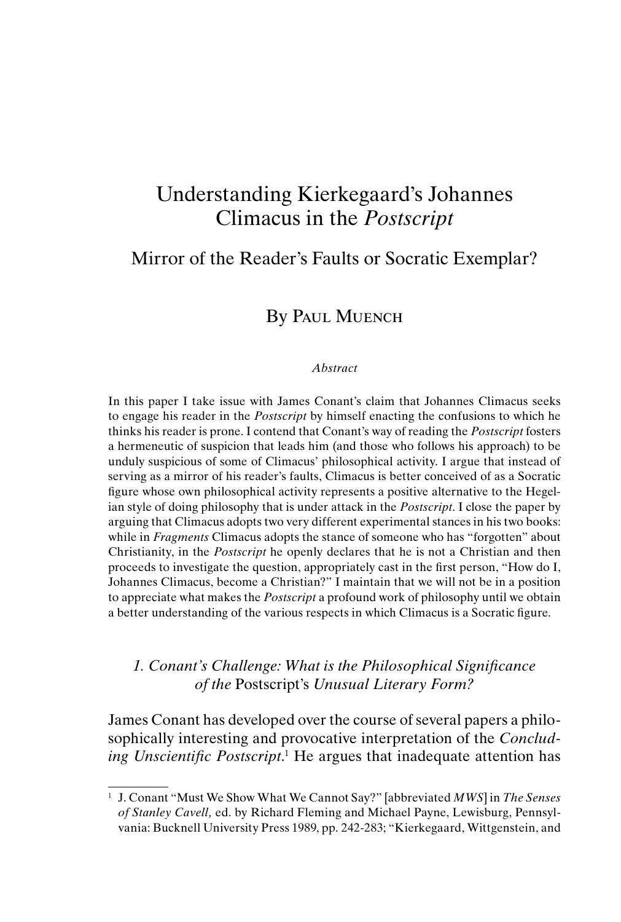# Understanding Kierkegaard's Johannes Climacus in the *Postscript*

# Mirror of the Reader's Faults or Socratic Exemplar?

## By PAUL MUENCH

#### *Abstract*

In this paper I take issue with James Conant's claim that Johannes Climacus seeks to engage his reader in the *Postscript* by himself enacting the confusions to which he thinks his reader is prone. I contend that Conant's way of reading the *Postscript* fosters a hermeneutic of suspicion that leads him (and those who follows his approach) to be unduly suspicious of some of Climacus' philosophical activity. I argue that instead of serving as a mirror of his reader's faults, Climacus is better conceived of as a Socratic figure whose own philosophical activity represents a positive alternative to the Hegelian style of doing philosophy that is under attack in the *Postscript*. I close the paper by arguing that Climacus adopts two very different experimental stances in his two books: while in *Fragments* Climacus adopts the stance of someone who has "forgotten" about Christianity, in the *Postscript* he openly declares that he is not a Christian and then proceeds to investigate the question, appropriately cast in the first person, "How do I, Johannes Climacus, become a Christian?" I maintain that we will not be in a position to appreciate what makes the *Postscript* a profound work of philosophy until we obtain a better understanding of the various respects in which Climacus is a Socratic figure.

### *1. Conant's Challenge: What is the Philosophical Significance of the* Postscript's *Unusual Literary Form?*

James Conant has developed over the course of several papers a philosophically interesting and provocative interpretation of the *Conclud*ing Unscientific Postscript.<sup>1</sup> He argues that inadequate attention has

<sup>1</sup> J. Conant "Must We Show What We Cannot Say?" [abbreviated *MWS*] in *The Senses of Stanley Cavell,* ed. by Richard Fleming and Michael Payne, Lewisburg, Pennsylvania: Bucknell University Press 1989, pp. 242-283; "Kierkegaard, Wittgenstein, and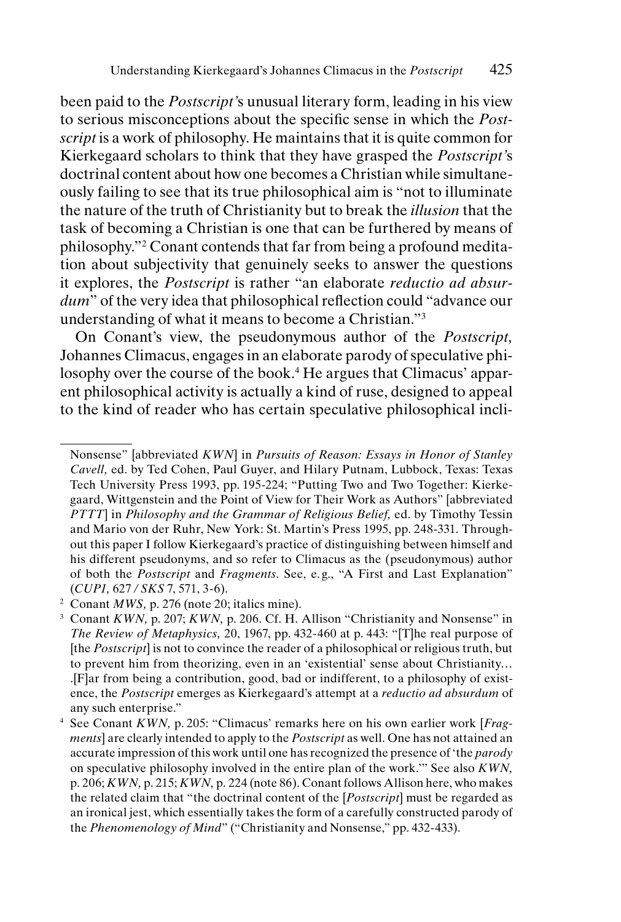been paid to the *Postscript'*s unusual literary form, leading in his view to serious misconceptions about the specific sense in which the *Postscript* is a work of philosophy. He maintains that it is quite common for Kierkegaard scholars to think that they have grasped the *Postscript'*s doctrinal content about how one becomes a Christian while simultaneously failing to see that its true philosophical aim is "not to illuminate the nature of the truth of Christianity but to break the *illusion* that the task of becoming a Christian is one that can be furthered by means of philosophy."2 Conant contends that far from being a profound meditation about subjectivity that genuinely seeks to answer the questions it explores, the *Postscript* is rather "an elaborate *reductio ad absurdum*" of the very idea that philosophical reflection could "advance our understanding of what it means to become a Christian."3

On Conant's view, the pseudonymous author of the *Postscript,* Johannes Climacus, engages in an elaborate parody of speculative philosophy over the course of the book.<sup>4</sup> He argues that Climacus' apparent philosophical activity is actually a kind of ruse, designed to appeal to the kind of reader who has certain speculative philosophical incli-

Nonsense" [abbreviated *KWN*] in *Pursuits of Reason: Essays in Honor of Stanley Cavell,* ed. by Ted Cohen, Paul Guyer, and Hilary Putnam, Lubbock, Texas: Texas Tech University Press 1993, pp. 195-224; "Putting Two and Two Together: Kierkegaard, Wittgenstein and the Point of View for Their Work as Authors" [abbreviated *PTTT*] in *Philosophy and the Grammar of Religious Belief,* ed. by Timothy Tessin and Mario von der Ruhr, New York: St. Martin's Press 1995, pp. 248-331. Throughout this paper I follow Kierkegaard's practice of distinguishing between himself and his different pseudonyms, and so refer to Climacus as the (pseudonymous) author of both the *Postscript* and *Fragments*. See, e.g., "A First and Last Explanation" (*CUP1,* 627 */ SKS* 7, 571, 3-6).

<sup>&</sup>lt;sup>2</sup> Conant *MWS*, p. 276 (note 20; italics mine).

<sup>&</sup>lt;sup>3</sup> Conant *KWN*, p. 207; *KWN*, p. 206. Cf. H. Allison "Christianity and Nonsense" in *The Review of Metaphysics,* 20, 1967, pp. 432-460 at p. 443: "[T]he real purpose of [the *Postscript*] is not to convince the reader of a philosophical or religious truth, but to prevent him from theorizing, even in an 'existential' sense about Christianity… .[F]ar from being a contribution, good, bad or indifferent, to a philosophy of existence, the *Postscript* emerges as Kierkegaard's attempt at a *reductio ad absurdum* of any such enterprise."

<sup>4</sup> See Conant *KWN,* p. 205: "Climacus' remarks here on his own earlier work [*Fragments*] are clearly intended to apply to the *Postscript* as well. One has not attained an accurate impression of this work until one has recognized the presence of 'the *parody* on speculative philosophy involved in the entire plan of the work.'" See also *KWN,* p. 206; *KWN,* p. 215; *KWN,* p. 224 (note 86). Conant follows Allison here, who makes the related claim that "the doctrinal content of the [*Postscript*] must be regarded as an ironical jest, which essentially takes the form of a carefully constructed parody of the *Phenomenology of Mind*" ("Christianity and Nonsense," pp. 432-433).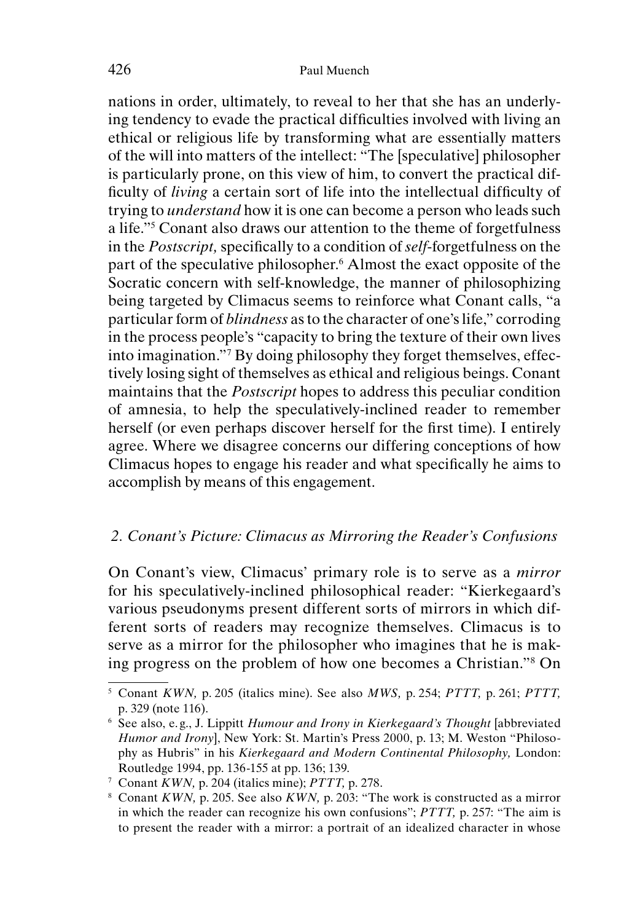nations in order, ultimately, to reveal to her that she has an underlying tendency to evade the practical difficulties involved with living an ethical or religious life by transforming what are essentially matters of the will into matters of the intellect: "The [speculative] philosopher is particularly prone, on this view of him, to convert the practical difficulty of *living* a certain sort of life into the intellectual difficulty of trying to *understand* how it is one can become a person who leads such a life."5 Conant also draws our attention to the theme of forgetfulness in the *Postscript,* specifically to a condition of *self*-forgetfulness on the part of the speculative philosopher.<sup>6</sup> Almost the exact opposite of the Socratic concern with self-knowledge, the manner of philosophizing being targeted by Climacus seems to reinforce what Conant calls, "a particular form of *blindness* as to the character of one's life," corroding in the process people's "capacity to bring the texture of their own lives into imagination."7 By doing philosophy they forget themselves, effectively losing sight of themselves as ethical and religious beings. Conant maintains that the *Postscript* hopes to address this peculiar condition of amnesia, to help the speculatively-inclined reader to remember herself (or even perhaps discover herself for the first time). I entirely agree. Where we disagree concerns our differing conceptions of how Climacus hopes to engage his reader and what specifically he aims to accomplish by means of this engagement.

### *2. Conant's Picture: Climacus as Mirroring the Reader's Confusions*

On Conant's view, Climacus' primary role is to serve as a *mirror* for his speculatively-inclined philosophical reader: "Kierkegaard's various pseudonyms present different sorts of mirrors in which different sorts of readers may recognize themselves. Climacus is to serve as a mirror for the philosopher who imagines that he is making progress on the problem of how one becomes a Christian."8 On

<sup>5</sup> Conant *KWN,* p. 205 (italics mine). See also *MWS,* p. 254; *PTTT,* p. 261; *PTTT,* p. 329 (note 116).

<sup>6</sup> See also, e. g., J. Lippitt *Humour and Irony in Kierkegaard's Thought* [abbreviated *Humor and Irony*], New York: St. Martin's Press 2000, p. 13; M. Weston "Philosophy as Hubris" in his *Kierkegaard and Modern Continental Philosophy,* London: Routledge 1994, pp. 136-155 at pp. 136; 139.

<sup>7</sup> Conant *KWN,* p. 204 (italics mine); *PTTT,* p. 278.

<sup>8</sup> Conant *KWN,* p. 205. See also *KWN,* p. 203: "The work is constructed as a mirror in which the reader can recognize his own confusions"; *PTTT,* p. 257: "The aim is to present the reader with a mirror: a portrait of an idealized character in whose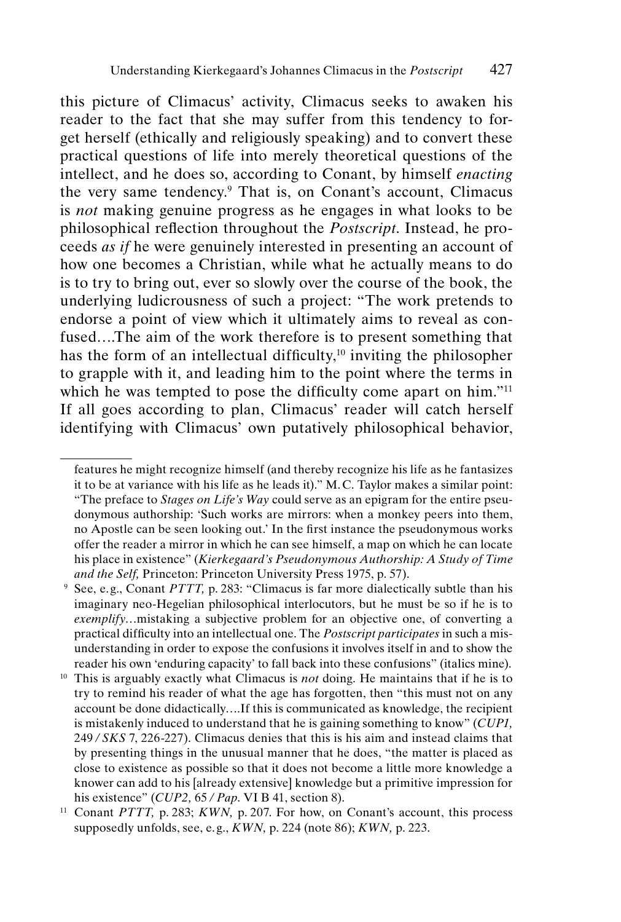this picture of Climacus' activity, Climacus seeks to awaken his reader to the fact that she may suffer from this tendency to forget herself (ethically and religiously speaking) and to convert these practical questions of life into merely theoretical questions of the intellect, and he does so, according to Conant, by himself *enacting* the very same tendency.9 That is, on Conant's account, Climacus is *not* making genuine progress as he engages in what looks to be philosophical reflection throughout the *Postscript*. Instead, he proceeds *as if* he were genuinely interested in presenting an account of how one becomes a Christian, while what he actually means to do is to try to bring out, ever so slowly over the course of the book, the underlying ludicrousness of such a project: "The work pretends to endorse a point of view which it ultimately aims to reveal as confused….The aim of the work therefore is to present something that has the form of an intellectual difficulty,<sup>10</sup> inviting the philosopher to grapple with it, and leading him to the point where the terms in which he was tempted to pose the difficulty come apart on him."<sup>11</sup> If all goes according to plan, Climacus' reader will catch herself identifying with Climacus' own putatively philosophical behavior,

features he might recognize himself (and thereby recognize his life as he fantasizes it to be at variance with his life as he leads it)." M.C. Taylor makes a similar point: "The preface to *Stages on Life's Way* could serve as an epigram for the entire pseudonymous authorship: 'Such works are mirrors: when a monkey peers into them, no Apostle can be seen looking out.' In the first instance the pseudonymous works offer the reader a mirror in which he can see himself, a map on which he can locate his place in existence" (*Kierkegaard's Pseudonymous Authorship: A Study of Time and the Self,* Princeton: Princeton University Press 1975, p. 57).

<sup>9</sup> See, e.g., Conant *PTTT,* p. 283: "Climacus is far more dialectically subtle than his imaginary neo-Hegelian philosophical interlocutors, but he must be so if he is to *exemplify*…mistaking a subjective problem for an objective one, of converting a practical difficulty into an intellectual one. The *Postscript participates* in such a misunderstanding in order to expose the confusions it involves itself in and to show the reader his own 'enduring capacity' to fall back into these confusions" (italics mine).

<sup>10</sup> This is arguably exactly what Climacus is *not* doing. He maintains that if he is to try to remind his reader of what the age has forgotten, then "this must not on any account be done didactically….If this is communicated as knowledge, the recipient is mistakenly induced to understand that he is gaining something to know" (*CUP1,* 249 */ SKS* 7, 226-227). Climacus denies that this is his aim and instead claims that by presenting things in the unusual manner that he does, "the matter is placed as close to existence as possible so that it does not become a little more knowledge a knower can add to his [already extensive] knowledge but a primitive impression for his existence" (*CUP2,* 65 */ Pap*. VI B 41, section 8).

<sup>&</sup>lt;sup>11</sup> Conant *PTTT*, p. 283; *KWN*, p. 207. For how, on Conant's account, this process supposedly unfolds, see, e. g., *KWN,* p. 224 (note 86); *KWN,* p. 223.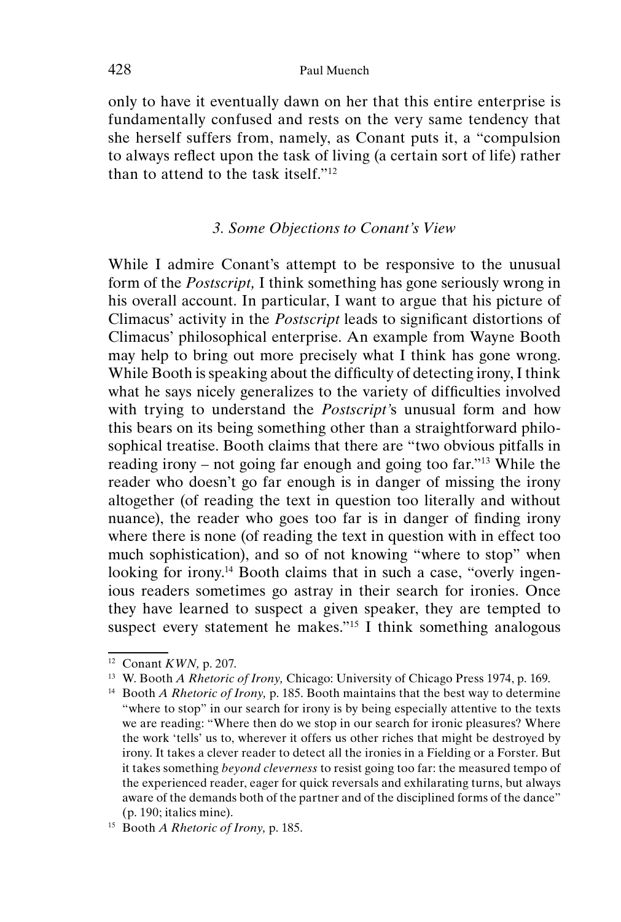only to have it eventually dawn on her that this entire enterprise is fundamentally confused and rests on the very same tendency that she herself suffers from, namely, as Conant puts it, a "compulsion to always reflect upon the task of living (a certain sort of life) rather than to attend to the task itself."12

#### *3. Some Objections to Conant's View*

While I admire Conant's attempt to be responsive to the unusual form of the *Postscript,* I think something has gone seriously wrong in his overall account. In particular, I want to argue that his picture of Climacus' activity in the *Postscript* leads to significant distortions of Climacus' philosophical enterprise. An example from Wayne Booth may help to bring out more precisely what I think has gone wrong. While Booth is speaking about the difficulty of detecting irony, I think what he says nicely generalizes to the variety of difficulties involved with trying to understand the *Postscript'*s unusual form and how this bears on its being something other than a straightforward philosophical treatise. Booth claims that there are "two obvious pitfalls in reading irony – not going far enough and going too far."13 While the reader who doesn't go far enough is in danger of missing the irony altogether (of reading the text in question too literally and without nuance), the reader who goes too far is in danger of finding irony where there is none (of reading the text in question with in effect too much sophistication), and so of not knowing "where to stop" when looking for irony.<sup>14</sup> Booth claims that in such a case, "overly ingenious readers sometimes go astray in their search for ironies. Once they have learned to suspect a given speaker, they are tempted to suspect every statement he makes."<sup>15</sup> I think something analogous

<sup>12</sup> Conant *KWN,* p. 207.

<sup>13</sup> W. Booth *A Rhetoric of Irony,* Chicago: University of Chicago Press 1974, p. 169.

<sup>14</sup> Booth *A Rhetoric of Irony,* p. 185. Booth maintains that the best way to determine "where to stop" in our search for irony is by being especially attentive to the texts we are reading: "Where then do we stop in our search for ironic pleasures? Where the work 'tells' us to, wherever it offers us other riches that might be destroyed by irony. It takes a clever reader to detect all the ironies in a Fielding or a Forster. But it takes something *beyond cleverness* to resist going too far: the measured tempo of the experienced reader, eager for quick reversals and exhilarating turns, but always aware of the demands both of the partner and of the disciplined forms of the dance" (p. 190; italics mine).

<sup>15</sup> Booth *A Rhetoric of Irony,* p. 185.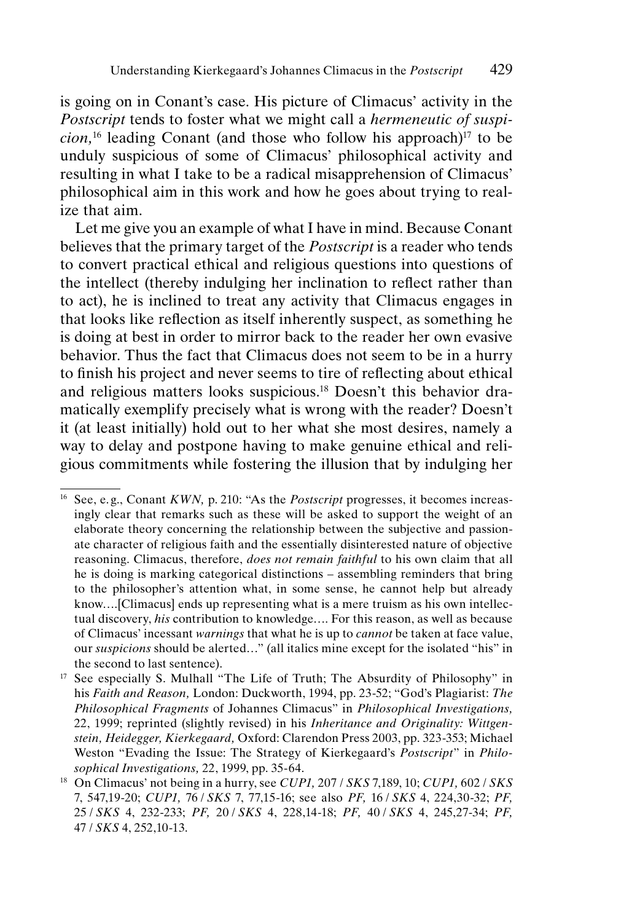is going on in Conant's case. His picture of Climacus' activity in the *Postscript* tends to foster what we might call a *hermeneutic of suspi-* $\frac{c}{10}$  leading Conant (and those who follow his approach)<sup>17</sup> to be unduly suspicious of some of Climacus' philosophical activity and resulting in what I take to be a radical misapprehension of Climacus' philosophical aim in this work and how he goes about trying to realize that aim.

Let me give you an example of what I have in mind. Because Conant believes that the primary target of the *Postscript* is a reader who tends to convert practical ethical and religious questions into questions of the intellect (thereby indulging her inclination to reflect rather than to act), he is inclined to treat any activity that Climacus engages in that looks like reflection as itself inherently suspect, as something he is doing at best in order to mirror back to the reader her own evasive behavior. Thus the fact that Climacus does not seem to be in a hurry to finish his project and never seems to tire of reflecting about ethical and religious matters looks suspicious.18 Doesn't this behavior dramatically exemplify precisely what is wrong with the reader? Doesn't it (at least initially) hold out to her what she most desires, namely a way to delay and postpone having to make genuine ethical and religious commitments while fostering the illusion that by indulging her

<sup>16</sup> See, e.g., Conant *KWN,* p. 210: "As the *Postscript* progresses, it becomes increasingly clear that remarks such as these will be asked to support the weight of an elaborate theory concerning the relationship between the subjective and passionate character of religious faith and the essentially disinterested nature of objective reasoning. Climacus, therefore, *does not remain faithful* to his own claim that all he is doing is marking categorical distinctions – assembling reminders that bring to the philosopher's attention what, in some sense, he cannot help but already know….[Climacus] ends up representing what is a mere truism as his own intellectual discovery, *his* contribution to knowledge…. For this reason, as well as because of Climacus' incessant *warnings* that what he is up to *cannot* be taken at face value, our *suspicions* should be alerted…" (all italics mine except for the isolated "his" in the second to last sentence).

<sup>&</sup>lt;sup>17</sup> See especially S. Mulhall "The Life of Truth; The Absurdity of Philosophy" in his *Faith and Reason,* London: Duckworth, 1994, pp. 23-52; "God's Plagiarist: *The Philosophical Fragments* of Johannes Climacus" in *Philosophical Investigations,* 22, 1999; reprinted (slightly revised) in his *Inheritance and Originality: Wittgenstein, Heidegger, Kierkegaard,* Oxford: Clarendon Press 2003, pp. 323-353; Michael Weston "Evading the Issue: The Strategy of Kierkegaard's *Postscript*" in *Philosophical Investigations,* 22, 1999, pp. 35-64.

<sup>18</sup> On Climacus' not being in a hurry, see *CUP1,* 207 / *SKS* 7,189, 10; *CUP1,* 602 / *SKS* 7, 547,19-20; *CUP1,* 76 / *SKS* 7, 77,15-16; see also *PF,* 16 / *SKS* 4, 224,30-32; *PF,* 25 / *SKS* 4, 232-233; *PF,* 20 / *SKS* 4, 228,14-18; *PF,* 40 / *SKS* 4, 245,27-34; *PF,* 47 / *SKS* 4, 252,10-13.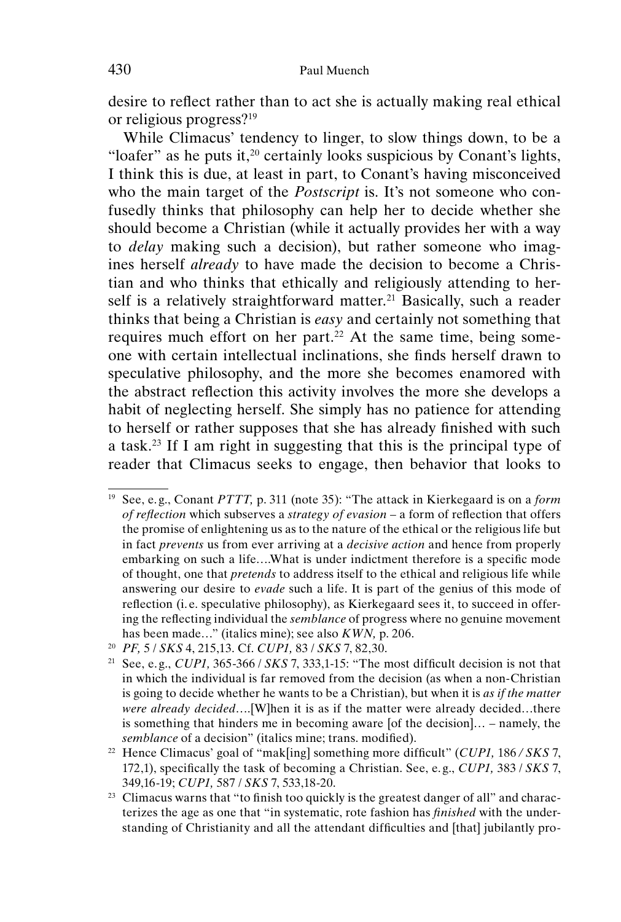desire to reflect rather than to act she is actually making real ethical or religious progress?19

While Climacus' tendency to linger, to slow things down, to be a "loafer" as he puts it, $20$  certainly looks suspicious by Conant's lights, I think this is due, at least in part, to Conant's having misconceived who the main target of the *Postscript* is. It's not someone who confusedly thinks that philosophy can help her to decide whether she should become a Christian (while it actually provides her with a way to *delay* making such a decision), but rather someone who imagines herself *already* to have made the decision to become a Christian and who thinks that ethically and religiously attending to herself is a relatively straightforward matter.<sup>21</sup> Basically, such a reader thinks that being a Christian is *easy* and certainly not something that requires much effort on her part.<sup>22</sup> At the same time, being someone with certain intellectual inclinations, she finds herself drawn to speculative philosophy, and the more she becomes enamored with the abstract reflection this activity involves the more she develops a habit of neglecting herself. She simply has no patience for attending to herself or rather supposes that she has already finished with such a task.23 If I am right in suggesting that this is the principal type of reader that Climacus seeks to engage, then behavior that looks to

<sup>19</sup> See, e.g., Conant *PTTT,* p. 311 (note 35): "The attack in Kierkegaard is on a *form of reflection* which subserves a *strategy of evasion* – a form of reflection that offers the promise of enlightening us as to the nature of the ethical or the religious life but in fact *prevents* us from ever arriving at a *decisive action* and hence from properly embarking on such a life….What is under indictment therefore is a specific mode of thought, one that *pretends* to address itself to the ethical and religious life while answering our desire to *evade* such a life. It is part of the genius of this mode of reflection (i. e. speculative philosophy), as Kierkegaard sees it, to succeed in offering the reflecting individual the *semblance* of progress where no genuine movement has been made…" (italics mine); see also *KWN,* p. 206.

<sup>20</sup> *PF,* 5 / *SKS* 4, 215,13. Cf. *CUP1,* 83 / *SKS* 7, 82,30.

<sup>21</sup> See, e.g., *CUP1,* 365-366 / *SKS* 7, 333,1-15: "The most difficult decision is not that in which the individual is far removed from the decision (as when a non-Christian is going to decide whether he wants to be a Christian), but when it is *as if the matter were already decided*….[W]hen it is as if the matter were already decided…there is something that hinders me in becoming aware [of the decision]… – namely, the *semblance* of a decision" (italics mine; trans. modified).

<sup>22</sup> Hence Climacus' goal of "mak[ing] something more difficult" (*CUP1,* 186 */ SKS* 7, 172,1), specifically the task of becoming a Christian. See, e. g., *CUP1,* 383 / *SKS* 7, 349,16-19; *CUP1,* 587 / *SKS* 7, 533,18-20.

<sup>&</sup>lt;sup>23</sup> Climacus warns that "to finish too quickly is the greatest danger of all" and characterizes the age as one that "in systematic, rote fashion has *finished* with the understanding of Christianity and all the attendant difficulties and [that] jubilantly pro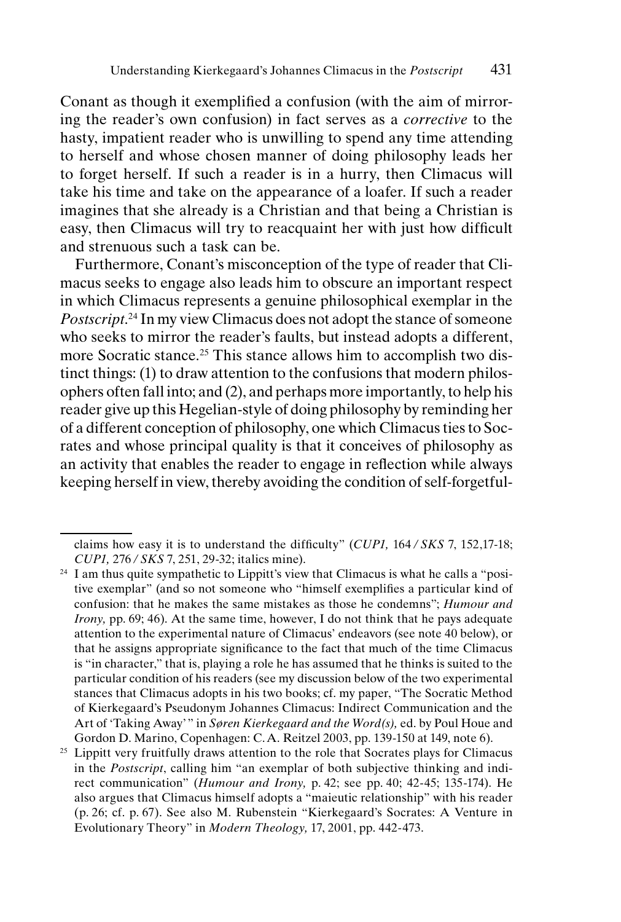Conant as though it exemplified a confusion (with the aim of mirroring the reader's own confusion) in fact serves as a *corrective* to the hasty, impatient reader who is unwilling to spend any time attending to herself and whose chosen manner of doing philosophy leads her to forget herself. If such a reader is in a hurry, then Climacus will take his time and take on the appearance of a loafer. If such a reader imagines that she already is a Christian and that being a Christian is easy, then Climacus will try to reacquaint her with just how difficult and strenuous such a task can be.

Furthermore, Conant's misconception of the type of reader that Climacus seeks to engage also leads him to obscure an important respect in which Climacus represents a genuine philosophical exemplar in the *Postscript*. 24 In my view Climacus does not adopt the stance of someone who seeks to mirror the reader's faults, but instead adopts a different, more Socratic stance.<sup>25</sup> This stance allows him to accomplish two distinct things: (1) to draw attention to the confusions that modern philosophers often fall into; and (2), and perhaps more importantly, to help his reader give up this Hegelian-style of doing philosophy by reminding her of a different conception of philosophy, one which Climacus ties to Socrates and whose principal quality is that it conceives of philosophy as an activity that enables the reader to engage in reflection while always keeping herself in view, thereby avoiding the condition of self-forgetful-

claims how easy it is to understand the difficulty" (*CUP1,* 164 */ SKS* 7, 152,17-18; *CUP1,* 276 */ SKS* 7, 251, 29-32; italics mine).

 $24$  I am thus quite sympathetic to Lippitt's view that Climacus is what he calls a "positive exemplar" (and so not someone who "himself exemplifies a particular kind of confusion: that he makes the same mistakes as those he condemns"; *Humour and Irony,* pp. 69; 46). At the same time, however, I do not think that he pays adequate attention to the experimental nature of Climacus' endeavors (see note 40 below), or that he assigns appropriate significance to the fact that much of the time Climacus is "in character," that is, playing a role he has assumed that he thinks is suited to the particular condition of his readers (see my discussion below of the two experimental stances that Climacus adopts in his two books; cf. my paper, "The Socratic Method of Kierkegaard's Pseudonym Johannes Climacus: Indirect Communication and the Art of 'Taking Away'" in *Søren Kierkegaard and the Word(s),* ed. by Poul Houe and Gordon D. Marino, Copenhagen: C.A. Reitzel 2003, pp. 139-150 at 149, note 6).

 $25$  Lippitt very fruitfully draws attention to the role that Socrates plays for Climacus in the *Postscript*, calling him "an exemplar of both subjective thinking and indirect communication" (*Humour and Irony,* p. 42; see pp. 40; 42-45; 135-174). He also argues that Climacus himself adopts a "maieutic relationship" with his reader (p. 26; cf. p. 67). See also M. Rubenstein "Kierkegaard's Socrates: A Venture in Evolutionary Theory" in *Modern Theology,* 17, 2001, pp. 442-473.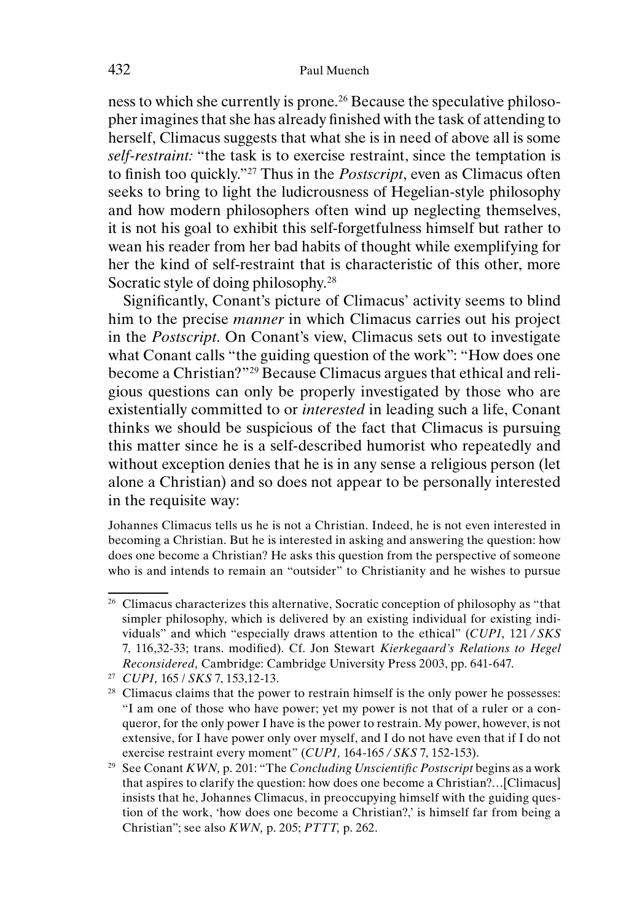ness to which she currently is prone.26 Because the speculative philosopher imagines that she has already finished with the task of attending to herself, Climacus suggests that what she is in need of above all is some *self-restraint:* "the task is to exercise restraint, since the temptation is to finish too quickly."27 Thus in the *Postscript*, even as Climacus often seeks to bring to light the ludicrousness of Hegelian-style philosophy and how modern philosophers often wind up neglecting themselves, it is not his goal to exhibit this self-forgetfulness himself but rather to wean his reader from her bad habits of thought while exemplifying for her the kind of self-restraint that is characteristic of this other, more Socratic style of doing philosophy.<sup>28</sup>

Significantly, Conant's picture of Climacus' activity seems to blind him to the precise *manner* in which Climacus carries out his project in the *Postscript*. On Conant's view, Climacus sets out to investigate what Conant calls "the guiding question of the work": "How does one become a Christian?"29 Because Climacus argues that ethical and religious questions can only be properly investigated by those who are existentially committed to or *interested* in leading such a life, Conant thinks we should be suspicious of the fact that Climacus is pursuing this matter since he is a self-described humorist who repeatedly and without exception denies that he is in any sense a religious person (let alone a Christian) and so does not appear to be personally interested in the requisite way:

Johannes Climacus tells us he is not a Christian. Indeed, he is not even interested in becoming a Christian. But he is interested in asking and answering the question: how does one become a Christian? He asks this question from the perspective of someone who is and intends to remain an "outsider" to Christianity and he wishes to pursue

<sup>&</sup>lt;sup>26</sup> Climacus characterizes this alternative, Socratic conception of philosophy as "that simpler philosophy, which is delivered by an existing individual for existing individuals" and which "especially draws attention to the ethical" (*CUP1,* 121 */ SKS* 7, 116,32-33; trans. modified). Cf. Jon Stewart *Kierkegaard's Relations to Hegel Reconsidered,* Cambridge: Cambridge University Press 2003, pp. 641-647.

<sup>27</sup> *CUP1,* 165 / *SKS* 7, 153,12-13.

 $28$  Climacus claims that the power to restrain himself is the only power he possesses: "I am one of those who have power; yet my power is not that of a ruler or a conqueror, for the only power I have is the power to restrain. My power, however, is not extensive, for I have power only over myself, and I do not have even that if I do not exercise restraint every moment" (*CUP1,* 164-165 */ SKS* 7, 152-153).

<sup>29</sup> See Conant *KWN,* p. 201: "The *Concluding Unscientific Postscript* begins as a work that aspires to clarify the question: how does one become a Christian?…[Climacus] insists that he, Johannes Climacus, in preoccupying himself with the guiding question of the work, 'how does one become a Christian?,' is himself far from being a Christian"; see also *KWN,* p. 205; *PTTT,* p. 262.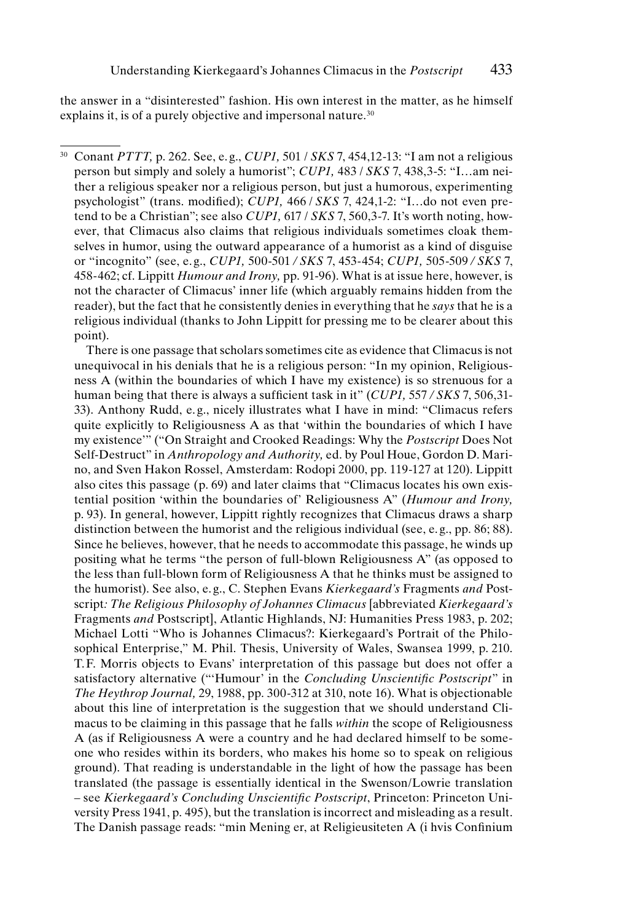the answer in a "disinterested" fashion. His own interest in the matter, as he himself explains it, is of a purely objective and impersonal nature.<sup>30</sup>

 There is one passage that scholars sometimes cite as evidence that Climacus is not unequivocal in his denials that he is a religious person: "In my opinion, Religiousness A (within the boundaries of which I have my existence) is so strenuous for a human being that there is always a sufficient task in it" (*CUP1,* 557 */ SKS* 7, 506,31-33). Anthony Rudd, e. g., nicely illustrates what I have in mind: "Climacus refers quite explicitly to Religiousness A as that 'within the boundaries of which I have my existence'" ("On Straight and Crooked Readings: Why the *Postscript* Does Not Self-Destruct" in *Anthropology and Authority,* ed. by Poul Houe, Gordon D. Marino, and Sven Hakon Rossel, Amsterdam: Rodopi 2000, pp. 119-127 at 120). Lippitt also cites this passage (p. 69) and later claims that "Climacus locates his own existential position 'within the boundaries of' Religiousness A" (*Humour and Irony,* p. 93). In general, however, Lippitt rightly recognizes that Climacus draws a sharp distinction between the humorist and the religious individual (see, e. g., pp. 86; 88). Since he believes, however, that he needs to accommodate this passage, he winds up positing what he terms "the person of full-blown Religiousness A" (as opposed to the less than full-blown form of Religiousness A that he thinks must be assigned to the humorist). See also, e. g., C. Stephen Evans *Kierkegaard's* Fragments *and* Postscript*: The Religious Philosophy of Johannes Climacus* [abbreviated *Kierkegaard's*  Fragments *and* Postscript], Atlantic Highlands, NJ: Humanities Press 1983, p. 202; Michael Lotti "Who is Johannes Climacus?: Kierkegaard's Portrait of the Philosophical Enterprise," M. Phil. Thesis, University of Wales, Swansea 1999, p. 210. T.F. Morris objects to Evans' interpretation of this passage but does not offer a satisfactory alternative ("'Humour' in the *Concluding Unscientific Postscript*" in *The Heythrop Journal,* 29, 1988, pp. 300-312 at 310, note 16). What is objectionable about this line of interpretation is the suggestion that we should understand Climacus to be claiming in this passage that he falls *within* the scope of Religiousness A (as if Religiousness A were a country and he had declared himself to be someone who resides within its borders, who makes his home so to speak on religious ground). That reading is understandable in the light of how the passage has been translated (the passage is essentially identical in the Swenson/Lowrie translation – see *Kierkegaard's Concluding Unscientific Postscript*, Princeton: Princeton University Press 1941, p. 495), but the translation is incorrect and misleading as a result. The Danish passage reads: "min Mening er, at Religieusiteten A (i hvis Confinium

<sup>30</sup> Conant *PTTT,* p. 262. See, e.g., *CUP1,* 501 / *SKS* 7, 454,12-13: "I am not a religious person but simply and solely a humorist"; *CUP1,* 483 / *SKS* 7, 438,3-5: "I…am neither a religious speaker nor a religious person, but just a humorous, experimenting psychologist" (trans. modified); *CUP1,* 466 / *SKS* 7, 424,1-2: "I…do not even pretend to be a Christian"; see also *CUP1,* 617 / *SKS* 7, 560,3-7. It's worth noting, however, that Climacus also claims that religious individuals sometimes cloak themselves in humor, using the outward appearance of a humorist as a kind of disguise or "incognito" (see, e. g., *CUP1,* 500-501 */ SKS* 7, 453-454; *CUP1,* 505-509 */ SKS* 7, 458-462; cf. Lippitt *Humour and Irony,* pp. 91-96). What is at issue here, however, is not the character of Climacus' inner life (which arguably remains hidden from the reader), but the fact that he consistently denies in everything that he *says* that he is a religious individual (thanks to John Lippitt for pressing me to be clearer about this point).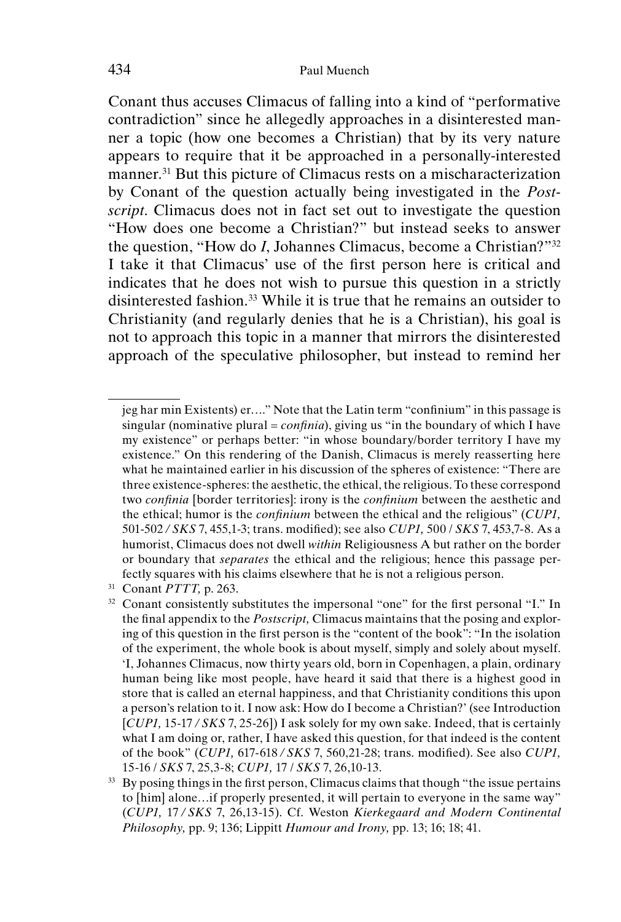Conant thus accuses Climacus of falling into a kind of "performative contradiction" since he allegedly approaches in a disinterested manner a topic (how one becomes a Christian) that by its very nature appears to require that it be approached in a personally-interested manner.<sup>31</sup> But this picture of Climacus rests on a mischaracterization by Conant of the question actually being investigated in the *Postscript*. Climacus does not in fact set out to investigate the question "How does one become a Christian?" but instead seeks to answer the question, "How do *I*, Johannes Climacus, become a Christian?"32 I take it that Climacus' use of the first person here is critical and indicates that he does not wish to pursue this question in a strictly disinterested fashion.33 While it is true that he remains an outsider to Christianity (and regularly denies that he is a Christian), his goal is not to approach this topic in a manner that mirrors the disinterested approach of the speculative philosopher, but instead to remind her

jeg har min Existents) er…." Note that the Latin term "confinium" in this passage is singular (nominative plural = *confinia*), giving us "in the boundary of which I have my existence" or perhaps better: "in whose boundary/border territory I have my existence." On this rendering of the Danish, Climacus is merely reasserting here what he maintained earlier in his discussion of the spheres of existence: "There are three existence-spheres: the aesthetic, the ethical, the religious. To these correspond two *confinia* [border territories]: irony is the *confinium* between the aesthetic and the ethical; humor is the *confinium* between the ethical and the religious" (*CUP1,* 501-502 */ SKS* 7, 455,1-3; trans. modified); see also *CUP1,* 500 / *SKS* 7, 453,7-8. As a humorist, Climacus does not dwell *within* Religiousness A but rather on the border or boundary that *separates* the ethical and the religious; hence this passage perfectly squares with his claims elsewhere that he is not a religious person.

<sup>31</sup> Conant *PTTT,* p. 263.

<sup>&</sup>lt;sup>32</sup> Conant consistently substitutes the impersonal "one" for the first personal "I." In the final appendix to the *Postscript,* Climacus maintains that the posing and exploring of this question in the first person is the "content of the book": "In the isolation of the experiment, the whole book is about myself, simply and solely about myself. 'I, Johannes Climacus, now thirty years old, born in Copenhagen, a plain, ordinary human being like most people, have heard it said that there is a highest good in store that is called an eternal happiness, and that Christianity conditions this upon a person's relation to it. I now ask: How do I become a Christian?' (see Introduction [*CUP1,* 15-17 */ SKS* 7, 25-26]) I ask solely for my own sake. Indeed, that is certainly what I am doing or, rather, I have asked this question, for that indeed is the content of the book" (*CUP1,* 617-618 */ SKS* 7, 560,21-28; trans. modified). See also *CUP1,* 15-16 / *SKS* 7, 25,3-8; *CUP1,* 17 / *SKS* 7, 26,10-13.

<sup>&</sup>lt;sup>33</sup> By posing things in the first person, Climacus claims that though "the issue pertains to [him] alone…if properly presented, it will pertain to everyone in the same way" (*CUP1,* 17 */ SKS* 7, 26,13-15). Cf. Weston *Kierkegaard and Modern Continental Philosophy,* pp. 9; 136; Lippitt *Humour and Irony,* pp. 13; 16; 18; 41.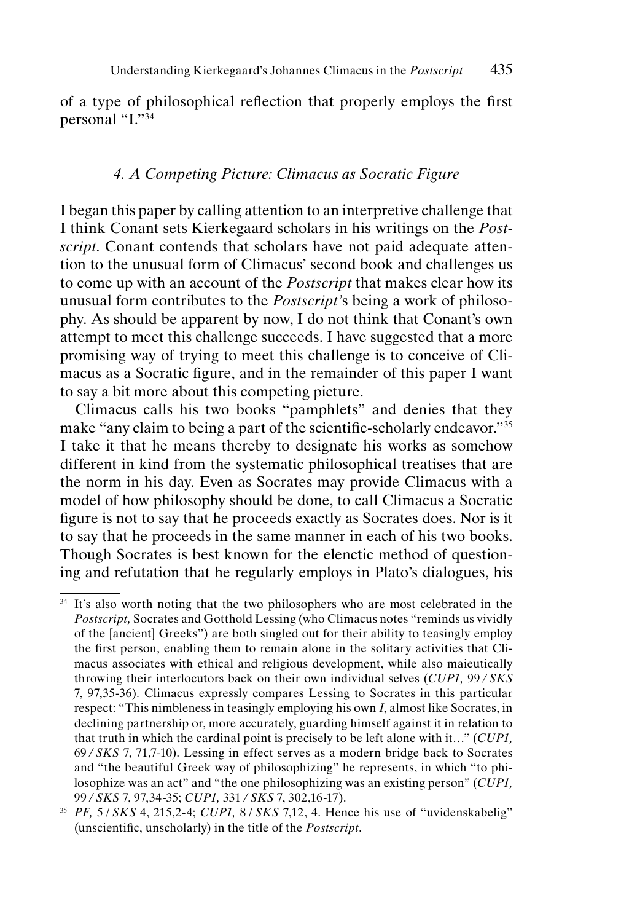of a type of philosophical reflection that properly employs the first personal "I."34

#### *4. A Competing Picture: Climacus as Socratic Figure*

I began this paper by calling attention to an interpretive challenge that I think Conant sets Kierkegaard scholars in his writings on the *Postscript*. Conant contends that scholars have not paid adequate attention to the unusual form of Climacus' second book and challenges us to come up with an account of the *Postscript* that makes clear how its unusual form contributes to the *Postscript'*s being a work of philosophy. As should be apparent by now, I do not think that Conant's own attempt to meet this challenge succeeds. I have suggested that a more promising way of trying to meet this challenge is to conceive of Climacus as a Socratic figure, and in the remainder of this paper I want to say a bit more about this competing picture.

Climacus calls his two books "pamphlets" and denies that they make "any claim to being a part of the scientific-scholarly endeavor."<sup>35</sup> I take it that he means thereby to designate his works as somehow different in kind from the systematic philosophical treatises that are the norm in his day. Even as Socrates may provide Climacus with a model of how philosophy should be done, to call Climacus a Socratic figure is not to say that he proceeds exactly as Socrates does. Nor is it to say that he proceeds in the same manner in each of his two books. Though Socrates is best known for the elenctic method of questioning and refutation that he regularly employs in Plato's dialogues, his

<sup>&</sup>lt;sup>34</sup> It's also worth noting that the two philosophers who are most celebrated in the *Postscript,* Socrates and Gotthold Lessing (who Climacus notes "reminds us vividly of the [ancient] Greeks") are both singled out for their ability to teasingly employ the first person, enabling them to remain alone in the solitary activities that Climacus associates with ethical and religious development, while also maieutically throwing their interlocutors back on their own individual selves (*CUP1,* 99 */ SKS* 7, 97,35-36). Climacus expressly compares Lessing to Socrates in this particular respect: "This nimbleness in teasingly employing his own *I*, almost like Socrates, in declining partnership or, more accurately, guarding himself against it in relation to that truth in which the cardinal point is precisely to be left alone with it…" (*CUP1,* 69 */ SKS* 7, 71,7-10). Lessing in effect serves as a modern bridge back to Socrates and "the beautiful Greek way of philosophizing" he represents, in which "to philosophize was an act" and "the one philosophizing was an existing person" (*CUP1,* 99 */ SKS* 7, 97,34-35; *CUP1,* 331 */ SKS* 7, 302,16-17).

<sup>35</sup> *PF,* 5 / *SKS* 4, 215,2-4; *CUP1,* 8 / *SKS* 7,12, 4. Hence his use of "uvidenskabelig" (unscientific, unscholarly) in the title of the *Postscript*.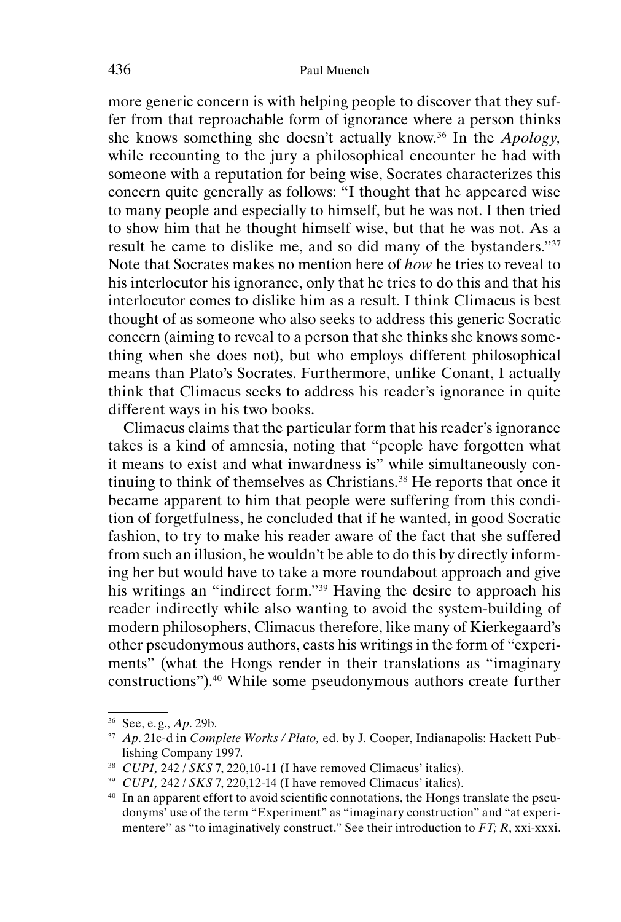more generic concern is with helping people to discover that they suffer from that reproachable form of ignorance where a person thinks she knows something she doesn't actually know.36 In the *Apology,* while recounting to the jury a philosophical encounter he had with someone with a reputation for being wise, Socrates characterizes this concern quite generally as follows: "I thought that he appeared wise to many people and especially to himself, but he was not. I then tried to show him that he thought himself wise, but that he was not. As a result he came to dislike me, and so did many of the bystanders."37 Note that Socrates makes no mention here of *how* he tries to reveal to his interlocutor his ignorance, only that he tries to do this and that his interlocutor comes to dislike him as a result. I think Climacus is best thought of as someone who also seeks to address this generic Socratic concern (aiming to reveal to a person that she thinks she knows something when she does not), but who employs different philosophical means than Plato's Socrates. Furthermore, unlike Conant, I actually think that Climacus seeks to address his reader's ignorance in quite different ways in his two books.

Climacus claims that the particular form that his reader's ignorance takes is a kind of amnesia, noting that "people have forgotten what it means to exist and what inwardness is" while simultaneously continuing to think of themselves as Christians.<sup>38</sup> He reports that once it became apparent to him that people were suffering from this condition of forgetfulness, he concluded that if he wanted, in good Socratic fashion, to try to make his reader aware of the fact that she suffered from such an illusion, he wouldn't be able to do this by directly informing her but would have to take a more roundabout approach and give his writings an "indirect form."<sup>39</sup> Having the desire to approach his reader indirectly while also wanting to avoid the system-building of modern philosophers, Climacus therefore, like many of Kierkegaard's other pseudonymous authors, casts his writings in the form of "experiments" (what the Hongs render in their translations as "imaginary constructions").40 While some pseudonymous authors create further

<sup>36</sup> See, e.g., *Ap*. 29b.

<sup>37</sup> *Ap*. 21c-d in *Complete Works / Plato,* ed. by J. Cooper, Indianapolis: Hackett Publishing Company 1997.

<sup>38</sup> *CUP1,* 242 / *SKS* 7, 220,10-11 (I have removed Climacus' italics).

<sup>39</sup> *CUP1,* 242 / *SKS* 7, 220,12-14 (I have removed Climacus' italics).

<sup>&</sup>lt;sup>40</sup> In an apparent effort to avoid scientific connotations, the Hongs translate the pseudonyms' use of the term "Experiment" as "imaginary construction" and "at experimentere" as "to imaginatively construct." See their introduction to *FT; R*, xxi-xxxi.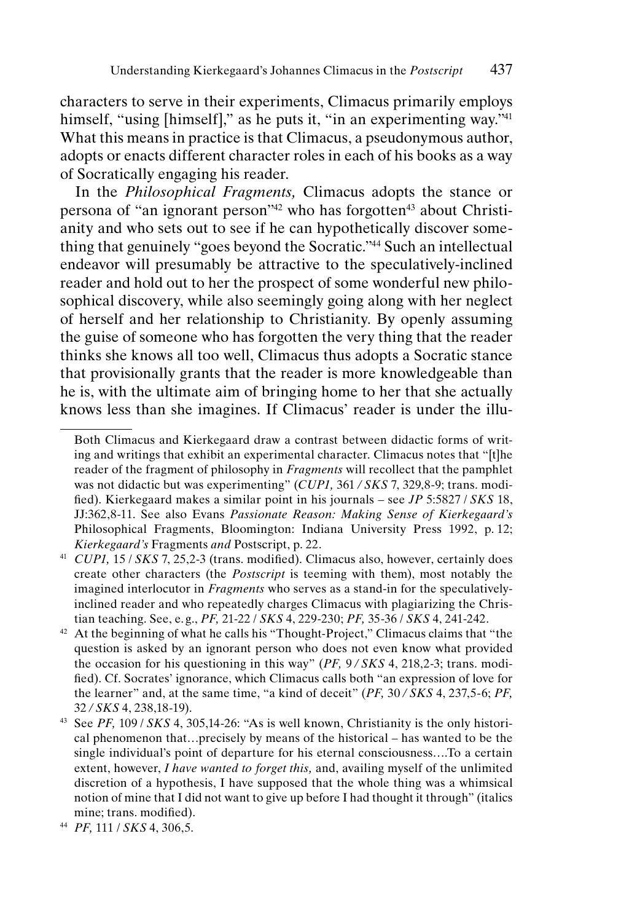characters to serve in their experiments, Climacus primarily employs himself, "using [himself]," as he puts it, "in an experimenting way."<sup>41</sup> What this means in practice is that Climacus, a pseudonymous author, adopts or enacts different character roles in each of his books as a way of Socratically engaging his reader.

In the *Philosophical Fragments,* Climacus adopts the stance or persona of "an ignorant person"<sup>42</sup> who has forgotten<sup>43</sup> about Christianity and who sets out to see if he can hypothetically discover something that genuinely "goes beyond the Socratic."44 Such an intellectual endeavor will presumably be attractive to the speculatively-inclined reader and hold out to her the prospect of some wonderful new philosophical discovery, while also seemingly going along with her neglect of herself and her relationship to Christianity. By openly assuming the guise of someone who has forgotten the very thing that the reader thinks she knows all too well, Climacus thus adopts a Socratic stance that provisionally grants that the reader is more knowledgeable than he is, with the ultimate aim of bringing home to her that she actually knows less than she imagines. If Climacus' reader is under the illu-

Both Climacus and Kierkegaard draw a contrast between didactic forms of writing and writings that exhibit an experimental character. Climacus notes that "[t]he reader of the fragment of philosophy in *Fragments* will recollect that the pamphlet was not didactic but was experimenting" (*CUP1,* 361 */ SKS* 7, 329,8-9; trans. modified). Kierkegaard makes a similar point in his journals – see *JP* 5:5827 / *SKS* 18, JJ:362,8-11. See also Evans *Passionate Reason: Making Sense of Kierkegaard's*  Philosophical Fragments, Bloomington: Indiana University Press 1992, p. 12; *Kierkegaard's* Fragments *and* Postscript, p. 22.

<sup>41</sup> *CUP1,* 15 / *SKS* 7, 25,2-3 (trans. modified). Climacus also, however, certainly does create other characters (the *Postscript* is teeming with them), most notably the imagined interlocutor in *Fragments* who serves as a stand-in for the speculativelyinclined reader and who repeatedly charges Climacus with plagiarizing the Christian teaching. See, e. g., *PF,* 21-22 / *SKS* 4, 229-230; *PF,* 35-36 / *SKS* 4, 241-242.

 $42$  At the beginning of what he calls his "Thought-Project," Climacus claims that "the question is asked by an ignorant person who does not even know what provided the occasion for his questioning in this way" (*PF,* 9 */ SKS* 4, 218,2-3; trans. modified). Cf. Socrates' ignorance, which Climacus calls both "an expression of love for the learner" and, at the same time, "a kind of deceit" (*PF,* 30 */ SKS* 4, 237,5-6; *PF,* 32 */ SKS* 4, 238,18-19).

<sup>43</sup> See *PF,* 109 / *SKS* 4, 305,14-26: "As is well known, Christianity is the only historical phenomenon that…precisely by means of the historical – has wanted to be the single individual's point of departure for his eternal consciousness….To a certain extent, however, *I have wanted to forget this,* and, availing myself of the unlimited discretion of a hypothesis, I have supposed that the whole thing was a whimsical notion of mine that I did not want to give up before I had thought it through" (italics mine; trans. modified).

<sup>44</sup> *PF,* 111 / *SKS* 4, 306,5.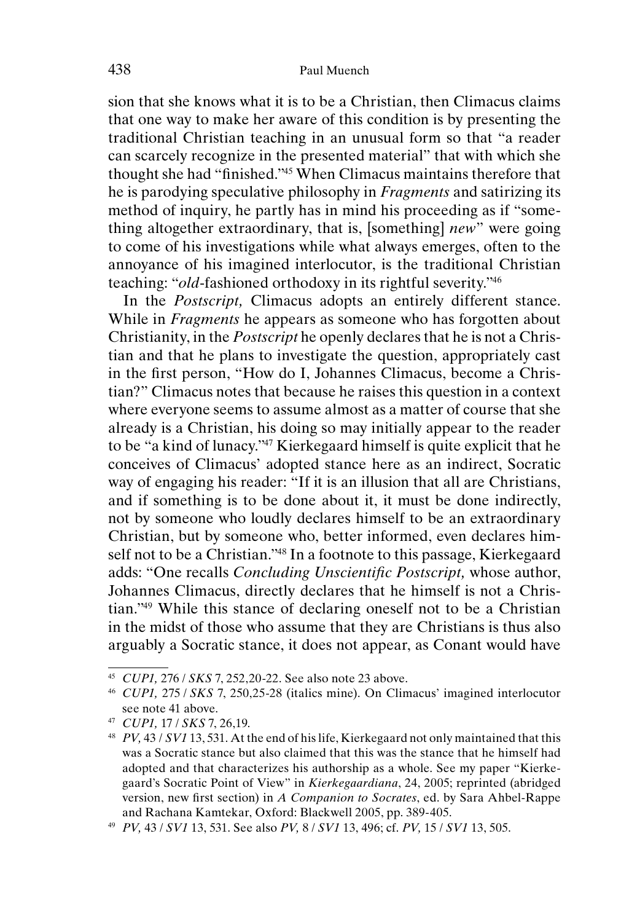sion that she knows what it is to be a Christian, then Climacus claims that one way to make her aware of this condition is by presenting the traditional Christian teaching in an unusual form so that "a reader can scarcely recognize in the presented material" that with which she thought she had "finished."45 When Climacus maintains therefore that he is parodying speculative philosophy in *Fragments* and satirizing its method of inquiry, he partly has in mind his proceeding as if "something altogether extraordinary, that is, [something] *new*" were going to come of his investigations while what always emerges, often to the annoyance of his imagined interlocutor, is the traditional Christian teaching: "*old*-fashioned orthodoxy in its rightful severity."46

In the *Postscript,* Climacus adopts an entirely different stance. While in *Fragments* he appears as someone who has forgotten about Christianity, in the *Postscript* he openly declares that he is not a Christian and that he plans to investigate the question, appropriately cast in the first person, "How do I, Johannes Climacus, become a Christian?" Climacus notes that because he raises this question in a context where everyone seems to assume almost as a matter of course that she already is a Christian, his doing so may initially appear to the reader to be "a kind of lunacy."47 Kierkegaard himself is quite explicit that he conceives of Climacus' adopted stance here as an indirect, Socratic way of engaging his reader: "If it is an illusion that all are Christians, and if something is to be done about it, it must be done indirectly, not by someone who loudly declares himself to be an extraordinary Christian, but by someone who, better informed, even declares himself not to be a Christian."48 In a footnote to this passage, Kierkegaard adds: "One recalls *Concluding Unscientific Postscript,* whose author, Johannes Climacus, directly declares that he himself is not a Christian."49 While this stance of declaring oneself not to be a Christian in the midst of those who assume that they are Christians is thus also arguably a Socratic stance, it does not appear, as Conant would have

<sup>45</sup> *CUP1,* 276 / *SKS* 7, 252,20-22. See also note 23 above.

<sup>46</sup> *CUP1,* 275 / *SKS* 7, 250,25-28 (italics mine). On Climacus' imagined interlocutor see note 41 above.

<sup>47</sup> *CUP1,* 17 / *SKS* 7, 26,19.

<sup>48</sup> *PV,* 43 / *SV1* 13, 531. At the end of his life, Kierkegaard not only maintained that this was a Socratic stance but also claimed that this was the stance that he himself had adopted and that characterizes his authorship as a whole. See my paper "Kierkegaard's Socratic Point of View" in *Kierkegaardiana*, 24, 2005; reprinted (abridged version, new first section) in *A Companion to Socrates*, ed. by Sara Ahbel-Rappe and Rachana Kamtekar, Oxford: Blackwell 2005, pp. 389-405.

<sup>49</sup> *PV,* 43 / *SV1* 13, 531. See also *PV,* 8 / *SV1* 13, 496; cf. *PV,* 15 / *SV1* 13, 505.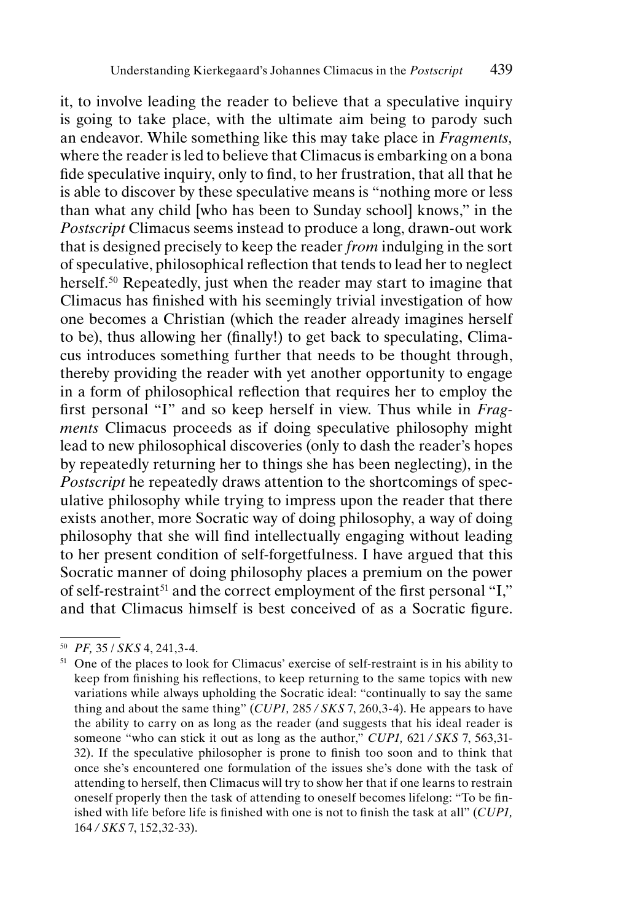it, to involve leading the reader to believe that a speculative inquiry is going to take place, with the ultimate aim being to parody such an endeavor. While something like this may take place in *Fragments,* where the reader is led to believe that Climacus is embarking on a bona fide speculative inquiry, only to find, to her frustration, that all that he is able to discover by these speculative means is "nothing more or less than what any child [who has been to Sunday school] knows," in the *Postscript* Climacus seems instead to produce a long, drawn-out work that is designed precisely to keep the reader *from* indulging in the sort of speculative, philosophical reflection that tends to lead her to neglect herself.<sup>50</sup> Repeatedly, just when the reader may start to imagine that Climacus has finished with his seemingly trivial investigation of how one becomes a Christian (which the reader already imagines herself to be), thus allowing her (finally!) to get back to speculating, Climacus introduces something further that needs to be thought through, thereby providing the reader with yet another opportunity to engage in a form of philosophical reflection that requires her to employ the first personal "I" and so keep herself in view. Thus while in *Fragments* Climacus proceeds as if doing speculative philosophy might lead to new philosophical discoveries (only to dash the reader's hopes by repeatedly returning her to things she has been neglecting), in the *Postscript* he repeatedly draws attention to the shortcomings of speculative philosophy while trying to impress upon the reader that there exists another, more Socratic way of doing philosophy, a way of doing philosophy that she will find intellectually engaging without leading to her present condition of self-forgetfulness. I have argued that this Socratic manner of doing philosophy places a premium on the power of self-restraint<sup>51</sup> and the correct employment of the first personal "I," and that Climacus himself is best conceived of as a Socratic figure.

<sup>50</sup> *PF,* 35 / *SKS* 4, 241,3-4.

<sup>51</sup> One of the places to look for Climacus' exercise of self-restraint is in his ability to keep from finishing his reflections, to keep returning to the same topics with new variations while always upholding the Socratic ideal: "continually to say the same thing and about the same thing" (*CUP1,* 285 */ SKS* 7, 260,3-4). He appears to have the ability to carry on as long as the reader (and suggests that his ideal reader is someone "who can stick it out as long as the author," *CUP1,* 621 */ SKS* 7, 563,31-32). If the speculative philosopher is prone to finish too soon and to think that once she's encountered one formulation of the issues she's done with the task of attending to herself, then Climacus will try to show her that if one learns to restrain oneself properly then the task of attending to oneself becomes lifelong: "To be finished with life before life is finished with one is not to finish the task at all" (*CUP1,* 164 */ SKS* 7, 152,32-33).